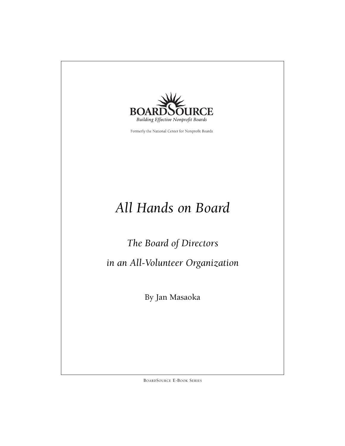

Formerly the National Center for Nonprofit Boards

# *All Hands on Board*

*The Board of Directors* 

*in an All-Volunteer Organization*

By Jan Masaoka

BOARDSOURCE E-BOOK SERIES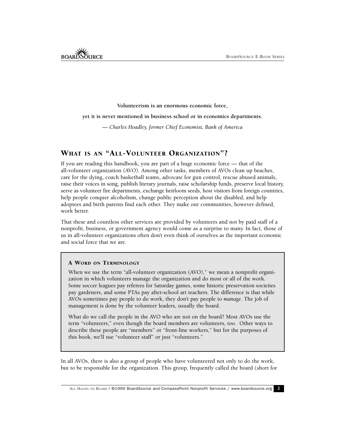**Volunteerism is an enormous economic force,** 

**yet it is never mentioned in business school or in economics departments.**

— *Charles Hoadley, former Chief Economist, Bank of America*

# WHAT IS AN "ALL-VOLUNTEER ORGANIZATION"?

If you are reading this handbook, you are part of a huge economic force — that of the all-volunteer organization (AVO). Among other tasks, members of AVOs clean up beaches, care for the dying, coach basketball teams, advocate for gun control, rescue abused animals, raise their voices in song, publish literary journals, raise scholarship funds, preserve local history, serve as volunteer fire departments, exchange heirloom seeds, host visitors from foreign countries, help people conquer alcoholism, change public perception about the disabled, and help adoptees and birth parents find each other. They make our communities, however defined, work better.

That these and countless other services are provided by volunteers and not by paid staff of a nonprofit, business, or government agency would come as a surprise to many. In fact, those of us in all-volunteer organizations often don't even think of ourselves as the important economic and social force that we are.

#### A WORD ON TERMINOLOGY

When we use the term "all-volunteer organization (AVO)," we mean a nonprofit organization in which volunteers manage the organization and do most or all of the work. Some soccer leagues pay referees for Saturday games, some historic preservation societies pay gardeners, and some PTAs pay after-school art teachers. The difference is that while AVOs sometimes pay people to do work, they don't pay people to *manage*. The job of management is done by the volunteer leaders, usually the board.

What do we call the people in the AVO who are not on the board? Most AVOs use the term "volunteers," even though the board members are volunteers, too. Other ways to describe these people are "members" or "front-line workers," but for the purposes of this book, we'll use "volunteer staff" or just "volunteers."

In all AVOs, there is also a group of people who have volunteered not only to do the work, but to be responsible for the organization. This group, frequently called the board (short for

ALL HANDS ON BOARD / ©1999 BoardSource and CompassPoint Nonprofit Services / www.boardsource.org 2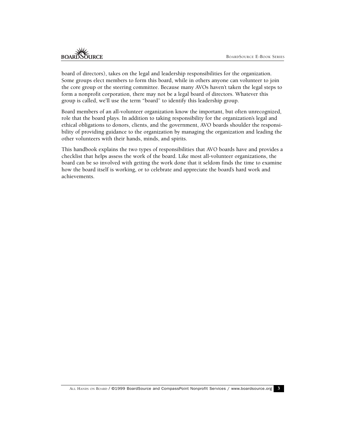board of directors), takes on the legal and leadership responsibilities for the organization. Some groups elect members to form this board, while in others anyone can volunteer to join the core group or the steering committee. Because many AVOs haven't taken the legal steps to form a nonprofit corporation, there may not be a legal board of directors. Whatever this group is called, we'll use the term "board" to identify this leadership group.

Board members of an all-volunteer organization know the important, but often unrecognized, role that the board plays. In addition to taking responsibility for the organization's legal and ethical obligations to donors, clients, and the government, AVO boards shoulder the responsibility of providing guidance to the organization by managing the organization and leading the other volunteers with their hands, minds, and spirits.

This handbook explains the two types of responsibilities that AVO boards have and provides a checklist that helps assess the work of the board. Like most all-volunteer organizations, the board can be so involved with getting the work done that it seldom finds the time to examine how the board itself is working, or to celebrate and appreciate the board's hard work and achievements.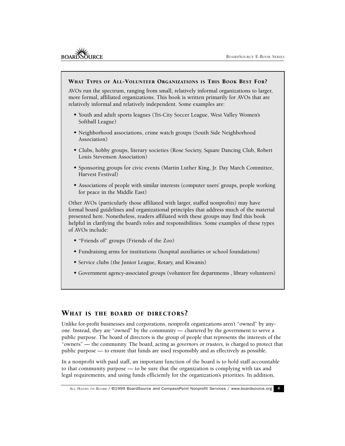#### WHAT TYPES OF ALL-VOLUNTEER ORGANIZATIONS IS THIS BOOK BEST FOR?

AVOs run the spectrum, ranging from small, relatively informal organizations to larger, more formal, affiliated organizations. This book is written primarily for AVOs that are relatively informal and relatively independent. Some examples are:

- Youth and adult sports leagues (Tri-City Soccer League, West Valley Women's Softball League)
- Neighborhood associations, crime watch groups (South Side Neighborhood Association)
- Clubs, hobby groups, literary societies (Rose Society, Square Dancing Club, Robert Louis Stevenson Association)
- Sponsoring groups for civic events (Martin Luther King, Jr. Day March Committee, Harvest Festival)
- Associations of people with similar interests (computer users' groups, people working for peace in the Middle East)

Other AVOs (particularly those affiliated with larger, staffed nonprofits) may have formal board guidelines and organizational principles that address much of the material presented here. Nonetheless, readers affiliated with these groups may find this book helpful in clarifying the board's roles and responsibilities. Some examples of these types of AVOs include:

- "Friends of" groups (Friends of the Zoo)
- Fundraising arms for institutions (hospital auxiliaries or school foundations)
- Service clubs (the Junior League, Rotary, and Kiwanis)
- Government agency-associated groups (volunteer fire departments , library volunteers)

### WHAT IS THE BOARD OF DIRECTORS?

Unlike for-profit businesses and corporations, nonprofit organizations aren't "owned" by anyone. Instead, they are "owned" by the community — chartered by the government to serve a public purpose. The board of directors is the group of people that represents the interests of the "owners" — the community. The board, acting as *governors* or *trustees,* is charged to protect that public purpose — to ensure that funds are used responsibly and as effectively as possible.

In a nonprofit with paid staff, an important function of the board is to hold staff accountable to that community purpose — to be sure that the organization is complying with tax and legal requirements, and using funds efficiently for the organization's priorities. In addition,

ALL HANDS ON BOARD / ©1999 BoardSource and CompassPoint Nonprofit Services / www.boardsource.org 4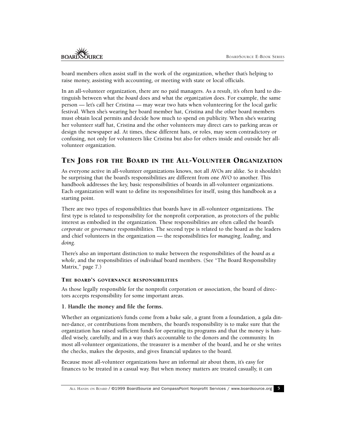board members often assist staff in the work of the organization, whether that's helping to raise money, assisting with accounting, or meeting with state or local officials.

In an all-volunteer organization, there are no paid managers. As a result, it's often hard to distinguish between what the *board* does and what the *organization* does. For example, the same person — let's call her Cristina — may wear two hats when volunteering for the local garlic festival. When she's wearing her board member hat, Cristina and the other board members must obtain local permits and decide how much to spend on publicity. When she's wearing her volunteer staff hat, Cristina and the other volunteers may direct cars to parking areas or design the newspaper ad. At times, these different hats, or roles, may seem contradictory or confusing, not only for volunteers like Cristina but also for others inside and outside her allvolunteer organization.

## TEN JOBS FOR THE BOARD IN THE ALL-VOLUNTEER ORGANIZATION

As everyone active in all-volunteer organizations knows, not all AVOs are alike. So it shouldn't be surprising that the board's responsibilities are different from one AVO to another. This handbook addresses the key, basic responsibilities of boards in all-volunteer organizations. Each organization will want to define its responsibilities for itself, using this handbook as a starting point.

There are two types of responsibilities that boards have in all-volunteer organizations. The first type is related to responsibility for the nonprofit corporation, as protectors of the public interest as embodied in the organization. These responsibilities are often called the board's *corporate* or *governance* responsibilities. The second type is related to the board as the leaders and chief volunteers in the organization — the responsibilities for *managing*, *leading*, and *doing*.

There's also an important distinction to make between the responsibilities of the *board as a whole*, and the responsibilities of *individual* board members. (See "The Board Responsibility Matrix," page 7.)

#### THE BOARD'S GOVERNANCE RESPONSIBILITIES

As those legally responsible for the nonprofit corporation or association, the board of directors accepts responsibility for some important areas.

#### **1. Handle the money and file the forms.**

Whether an organization's funds come from a bake sale, a grant from a foundation, a gala dinner-dance, or contributions from members, the board's responsibility is to make sure that the organization has raised sufficient funds for operating its programs and that the money is handled wisely, carefully, and in a way that's accountable to the donors and the community. In most all-volunteer organizations, the treasurer is a member of the board, and he or she writes the checks, makes the deposits, and gives financial updates to the board.

Because most all-volunteer organizations have an informal air about them, it's easy for finances to be treated in a casual way. But when money matters are treated casually, it can

ALL HANDS ON BOARD / ©1999 BoardSource and CompassPoint Nonprofit Services / www.boardsource.org 5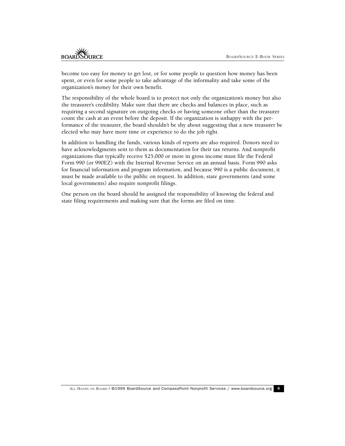become too easy for money to get lost, or for some people to question how money has been spent, or even for some people to take advantage of the informality and take some of the organization's money for their own benefit.

The responsibility of the whole board is to protect not only the organization's money but also the treasurer's credibility. Make sure that there are checks and balances in place, such as requiring a second signature on outgoing checks or having someone other than the treasurer count the cash at an event before the deposit. If the organization is unhappy with the performance of the treasurer, the board shouldn't be shy about suggesting that a new treasurer be elected who may have more time or experience to do the job right.

In addition to handling the funds, various kinds of reports are also required. Donors need to have acknowledgments sent to them as documentation for their tax returns. And nonprofit organizations that typically receive \$25,000 or more in gross income must file the Federal Form 990 (or 990EZ) with the Internal Revenue Service on an annual basis. Form 990 asks for financial information and program information, and because 990 is a public document, it must be made available to the public on request. In addition, state governments (and some local governments) also require nonprofit filings.

One person on the board should be assigned the responsibility of knowing the federal and state filing requirements and making sure that the forms are filed on time.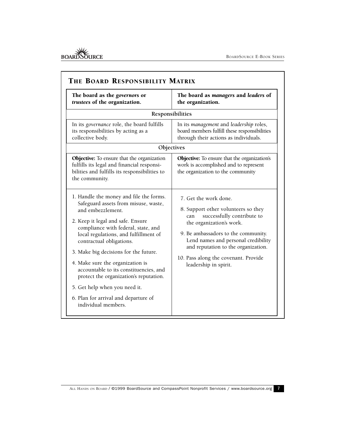| The board as the governors or<br>trustees of the organization.                                                                                                                                                                                                                                                                                                                                                                                                                                                         | The board as managers and leaders of<br>the organization.                                                                                                                                                                                                                                                           |  |  |  |  |
|------------------------------------------------------------------------------------------------------------------------------------------------------------------------------------------------------------------------------------------------------------------------------------------------------------------------------------------------------------------------------------------------------------------------------------------------------------------------------------------------------------------------|---------------------------------------------------------------------------------------------------------------------------------------------------------------------------------------------------------------------------------------------------------------------------------------------------------------------|--|--|--|--|
| Responsibilities                                                                                                                                                                                                                                                                                                                                                                                                                                                                                                       |                                                                                                                                                                                                                                                                                                                     |  |  |  |  |
| In its governance role, the board fulfills<br>its responsibilities by acting as a<br>collective body.                                                                                                                                                                                                                                                                                                                                                                                                                  | In its management and leadership roles,<br>board members fulfill these responsibilities<br>through their actions as individuals.                                                                                                                                                                                    |  |  |  |  |
| Objectives                                                                                                                                                                                                                                                                                                                                                                                                                                                                                                             |                                                                                                                                                                                                                                                                                                                     |  |  |  |  |
| Objective: To ensure that the organization<br>fulfills its legal and financial responsi-<br>bilities and fulfills its responsibilities to<br>the community.                                                                                                                                                                                                                                                                                                                                                            | Objective: To ensure that the organization's<br>work is accomplished and to represent<br>the organization to the community                                                                                                                                                                                          |  |  |  |  |
| 1. Handle the money and file the forms.<br>Safeguard assets from misuse, waste,<br>and embezzlement.<br>2. Keep it legal and safe. Ensure<br>compliance with federal, state, and<br>local regulations, and fulfillment of<br>contractual obligations.<br>3. Make big decisions for the future.<br>4. Make sure the organization is<br>accountable to its constituencies, and<br>protect the organization's reputation.<br>5. Get help when you need it.<br>6. Plan for arrival and departure of<br>individual members. | 7. Get the work done.<br>8. Support other volunteers so they<br>successfully contribute to<br>can<br>the organization's work.<br>9. Be ambassadors to the community.<br>Lend names and personal credibility<br>and reputation to the organization.<br>10. Pass along the covenant. Provide<br>leadership in spirit. |  |  |  |  |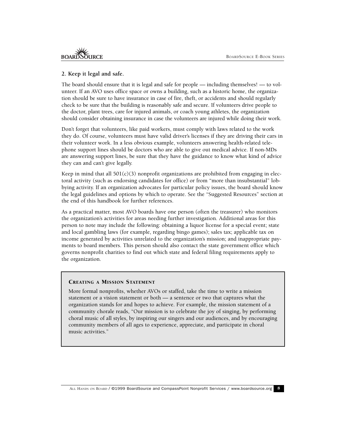#### **2. Keep it legal and safe.**

The board should ensure that it is legal and safe for people — including themselves! — to volunteer. If an AVO uses office space or owns a building, such as a historic home, the organization should be sure to have insurance in case of fire, theft, or accidents and should regularly check to be sure that the building is reasonably safe and secure. If volunteers drive people to the doctor, plant trees, care for injured animals, or coach young athletes, the organization should consider obtaining insurance in case the volunteers are injured while doing their work.

Don't forget that volunteers, like paid workers, must comply with laws related to the work they do. Of course, volunteers must have valid driver's licenses if they are driving their cars in their volunteer work. In a less obvious example, volunteers answering health-related telephone support lines should be doctors who are able to give out medical advice. If non-MDs are answering support lines, be sure that they have the guidance to know what kind of advice they can and can't give legally.

Keep in mind that all  $501(c)(3)$  nonprofit organizations are prohibited from engaging in electoral activity (such as endorsing candidates for office) or from "more than insubstantial" lobbying activity. If an organization advocates for particular policy issues, the board should know the legal guidelines and options by which to operate. See the "Suggested Resources" section at the end of this handbook for further references.

As a practical matter, most AVO boards have one person (often the treasurer) who monitors the organization's activities for areas needing further investigation. Additional areas for this person to note may include the following: obtaining a liquor license for a special event; state and local gambling laws (for example, regarding bingo games); sales tax; applicable tax on income generated by activities unrelated to the organization's mission; and inappropriate payments to board members. This person should also contact the state government office which governs nonprofit charities to find out which state and federal filing requirements apply to the organization.

#### CREATING A MISSION STATEMENT

More formal nonprofits, whether AVOs or staffed, take the time to write a mission statement or a vision statement or both — a sentence or two that captures what the organization stands for and hopes to achieve. For example, the mission statement of a community chorale reads, "Our mission is to celebrate the joy of singing, by performing choral music of all styles, by inspiring our singers and our audiences, and by encouraging community members of all ages to experience, appreciate, and participate in choral music activities."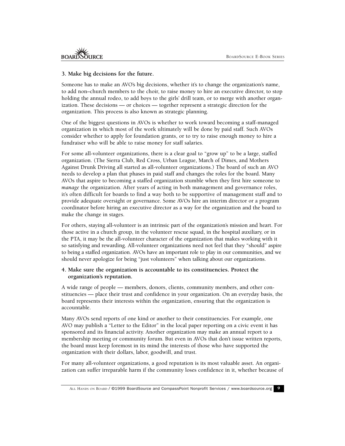#### **3. Make big decisions for the future.**

Someone has to make an AVO's big decisions, whether it's to change the organization's name, to add non–church members to the choir, to raise money to hire an executive director, to stop holding the annual rodeo, to add boys to the girls' drill team, or to merge with another organization. These decisions — or choices — together represent a strategic direction for the organization. This process is also known as strategic planning.

One of the biggest questions in AVOs is whether to work toward becoming a staff-managed organization in which most of the work ultimately will be done by paid staff. Such AVOs consider whether to apply for foundation grants, or to try to raise enough money to hire a fundraiser who will be able to raise money for staff salaries.

For some all-volunteer organizations, there is a clear goal to "grow up" to be a large, staffed organization. (The Sierra Club, Red Cross, Urban League, March of Dimes, and Mothers Against Drunk Driving all started as all-volunteer organizations.) The board of such an AVO needs to develop a plan that phases in paid staff and changes the roles for the board. Many AVOs that aspire to becoming a staffed organization stumble when they first hire someone to *manage* the organization. After years of acting in both management and governance roles, it's often difficult for boards to find a way both to be supportive of management staff and to provide adequate oversight or governance. Some AVOs hire an interim director or a program coordinator before hiring an executive director as a way for the organization and the board to make the change in stages.

For others, staying all-volunteer is an intrinsic part of the organization's mission and heart. For those active in a church group, in the volunteer rescue squad, in the hospital auxiliary, or in the PTA, it may be the all-volunteer character of the organization that makes working with it so satisfying and rewarding. All-volunteer organizations need not feel that they "should" aspire to being a staffed organization. AVOs have an important role to play in our communities, and we should never apologize for being "just volunteers" when talking about our organizations.

#### **4. Make sure the organization is accountable to its constituencies. Protect the organization's reputation.**

A wide range of people — members, donors, clients, community members, and other constituencies — place their trust and confidence in your organization. On an everyday basis, the board represents their interests within the organization, ensuring that the organization is accountable.

Many AVOs send reports of one kind or another to their constituencies. For example, one AVO may publish a "Letter to the Editor" in the local paper reporting on a civic event it has sponsored and its financial activity. Another organization may make an annual report to a membership meeting or community forum. But even in AVOs that don't issue written reports, the board must keep foremost in its mind the interests of those who have supported the organization with their dollars, labor, goodwill, and trust.

For many all-volunteer organizations, a good reputation is its most valuable asset. An organization can suffer irreparable harm if the community loses confidence in it, whether because of

ALL HANDS ON BOARD / ©1999 BoardSource and CompassPoint Nonprofit Services / www.boardsource.org 9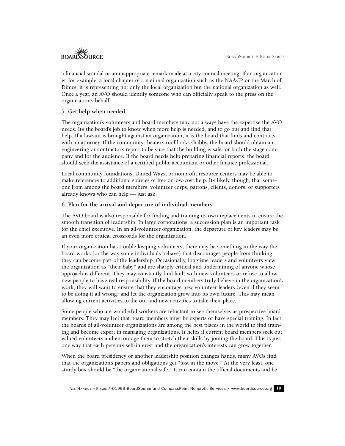a financial scandal or an inappropriate remark made at a city council meeting. If an organization is, for example, a local chapter of a national organization such as the NAACP or the March of Dimes, it is representing not only the local organization but the national organization as well. Once a year, an AVO should identify someone who can officially speak to the press on the organization's behalf.

## **5. Get help when needed.**

The organization's volunteers and board members may not always have the expertise the AVO needs. It's the board's job to know when more help is needed, and to go out and find that help. If a lawsuit is brought against an organization, it is the board that finds and contracts with an attorney. If the community theater's roof looks shabby, the board should obtain an engineering or contractor's report to be sure that the building is safe for both the stage company and for the audience. If the board needs help preparing financial reports, the board should seek the assistance of a certified public accountant or other finance professional.

Local community foundations, United Ways, or nonprofit resource centers may be able to make references to additional sources of free or low-cost help. It's likely, though, that someone from among the board members, volunteer corps, patrons, clients, donors, or supporters already knows who can help — just ask.

## **6. Plan for the arrival and departure of individual members.**

The AVO board is also responsible for finding and training its own replacements to ensure the smooth transition of leadership. In large corporations, a succession plan is an important task for the chief executive. In an all-volunteer organization, the departure of key leaders may be an even more critical crossroads for the organization.

If your organization has trouble keeping volunteers, there may be something in the way the board works (or the way some individuals behave) that discourages people from thinking they can become part of the leadership. Occasionally, longtime leaders and volunteers view the organization as "their baby" and are sharply critical and undermining of anyone whose approach is different. They may constantly find fault with new volunteers or refuse to allow new people to have real responsibility. If the board members truly believe in the organization's work, they will want to ensure that they encourage new volunteer leaders (even if they seem to be doing it all wrong) and let the organization grow into its own future. This may mean allowing current activities to die out and new activities to take their place.

Some people who are wonderful workers are reluctant to see themselves as prospective board members. They may feel that board members must be experts or have special training. In fact, the boards of all-volunteer organizations are among the best places in the world to find training and become expert in managing organizations. It helps if current board members seek out valued volunteers and encourage them to stretch their skills by joining the board. This is just one way that each person's self-interest and the organization's interests can grow together.

When the board presidency or another leadership position changes hands, many AVOs find that the organization's papers and obligations get "lost in the move." At the very least, one sturdy box should be "the organizational safe." It can contain the official documents and be

ALL HANDS ON BOARD / ©1999 BoardSource and CompassPoint Nonprofit Services / www.boardsource.org 10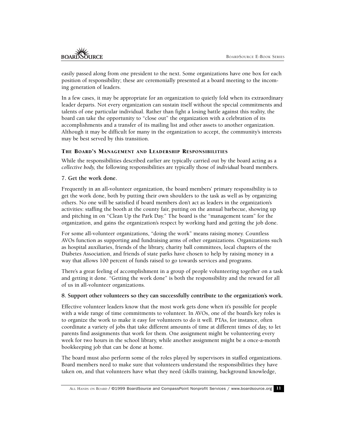easily passed along from one president to the next. Some organizations have one box for each position of responsibility; these are ceremonially presented at a board meeting to the incoming generation of leaders.

In a few cases, it may be appropriate for an organization to quietly fold when its extraordinary leader departs. Not every organization can sustain itself without the special commitments and talents of one particular individual. Rather than fight a losing battle against this reality, the board can take the opportunity to "close out" the organization with a celebration of its accomplishments and a transfer of its mailing list and other assets to another organization. Although it may be difficult for many in the organization to accept, the community's interests may be best served by this transition.

## THE BOARD'S MANAGEMENT AND LEADERSHIP RESPONSIBILITIES

While the responsibilities described earlier are typically carried out by the board acting as a *collective body,* the following responsibilities are typically those of *individual* board members.

## **7. Get the work done.**

Frequently in an all-volunteer organization, the board members' primary responsibility is to get the work done, both by putting their own shoulders to the task as well as by organizing others. No one will be satisfied if board members don't act as leaders in the organization's activities: staffing the booth at the county fair, putting on the annual barbecue, showing up and pitching in on "Clean Up the Park Day." The board is the "management team" for the organization, and gains the organization's respect by working hard and getting the job done.

For some all-volunteer organizations, "doing the work" means raising money. Countless AVOs function as supporting and fundraising arms of other organizations. Organizations such as hospital auxiliaries, friends of the library, charity ball committees, local chapters of the Diabetes Association, and friends of state parks have chosen to help by raising money in a way that allows 100 percent of funds raised to go towards services and programs.

There's a great feeling of accomplishment in a group of people volunteering together on a task and getting it done. "Getting the work done" is both the responsibility and the reward for all of us in all-volunteer organizations.

#### **8. Support other volunteers so they can successfully contribute to the organization's work.**

Effective volunteer leaders know that the most work gets done when it's possible for people with a wide range of time commitments to volunteer. In AVOs, one of the board's key roles is to organize the work to make it easy for volunteers to do it well. PTAs, for instance, often coordinate a variety of jobs that take different amounts of time at different times of day, to let parents find assignments that work for them. One assignment might be volunteering every week for two hours in the school library, while another assignment might be a once-a-month bookkeeping job that can be done at home.

The board must also perform some of the roles played by supervisors in staffed organizations. Board members need to make sure that volunteers understand the responsibilities they have taken on, and that volunteers have what they need (skills training, background knowledge,

ALL HANDS ON BOARD / ©1999 BoardSource and CompassPoint Nonprofit Services / www.boardsource.org 11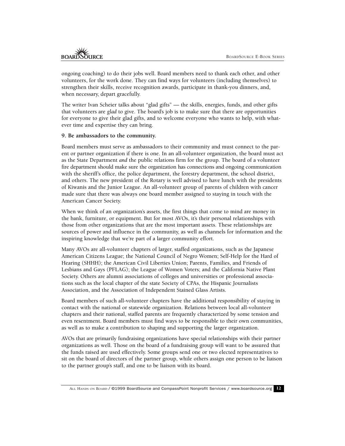ongoing coaching) to do their jobs well. Board members need to thank each other, and other volunteers, for the work done. They can find ways for volunteers (including themselves) to strengthen their skills, receive recognition awards, participate in thank-you dinners, and, when necessary, depart gracefully.

The writer Ivan Scheier talks about "glad gifts" — the skills, energies, funds, and other gifts that volunteers are *glad* to give. The board's job is to make sure that there are opportunities for everyone to give their glad gifts, and to welcome everyone who wants to help, with whatever time and expertise they can bring.

#### **9. Be ambassadors to the community.**

Board members must serve as ambassadors to their community and must connect to the parent or partner organization if there is one. In an all-volunteer organization, the board must act as the State Department *and* the public relations firm for the group. The board of a volunteer fire department should make sure the organization has connections and ongoing communication with the sheriff's office, the police department, the forestry department, the school district, and others. The new president of the Rotary is well advised to have lunch with the presidents of Kiwanis and the Junior League. An all-volunteer group of parents of children with cancer made sure that there was always one board member assigned to staying in touch with the American Cancer Society.

When we think of an organization's assets, the first things that come to mind are money in the bank, furniture, or equipment. But for most AVOs, it's their personal relationships with those from other organizations that are the most important assets. These relationships are sources of power and influence in the community, as well as channels for information and the inspiring knowledge that we're part of a larger community effort.

Many AVOs are all-volunteer chapters of larger, staffed organizations, such as the Japanese American Citizens League; the National Council of Negro Women; Self-Help for the Hard of Hearing (SHHH); the American Civil Liberties Union; Parents, Families, and Friends of Lesbians and Gays (PFLAG); the League of Women Voters; and the California Native Plant Society. Others are alumni associations of colleges and universities or professional associations such as the local chapter of the state Society of CPAs, the Hispanic Journalists Association, and the Association of Independent Stained Glass Artists.

Board members of such all-volunteer chapters have the additional responsibility of staying in contact with the national or statewide organization. Relations between local all-volunteer chapters and their national, staffed parents are frequently characterized by some tension and even resentment. Board members must find ways to be responsible to their own communities, as well as to make a contribution to shaping and supporting the larger organization.

AVOs that are primarily fundraising organizations have special relationships with their partner organizations as well. Those on the board of a fundraising group will want to be assured that the funds raised are used effectively. Some groups send one or two elected representatives to sit on the board of directors of the partner group, while others assign one person to be liaison to the partner group's staff, and one to be liaison with its board.

ALL HANDS ON BOARD / ©1999 BoardSource and CompassPoint Nonprofit Services / www.boardsource.org 12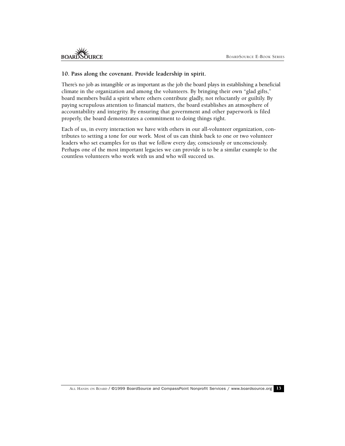#### **10. Pass along the covenant. Provide leadership in spirit.**

There's no job as intangible or as important as the job the board plays in establishing a beneficial climate in the organization and among the volunteers. By bringing their own "glad gifts," board members build a spirit where others contribute gladly, not reluctantly or guiltily. By paying scrupulous attention to financial matters, the board establishes an atmosphere of accountability and integrity. By ensuring that government and other paperwork is filed properly, the board demonstrates a commitment to doing things right.

Each of us, in every interaction we have with others in our all-volunteer organization, contributes to setting a tone for our work. Most of us can think back to one or two volunteer leaders who set examples for us that we follow every day, consciously or unconsciously. Perhaps one of the most important legacies we can provide is to be a similar example to the countless volunteers who work with us and who will succeed us.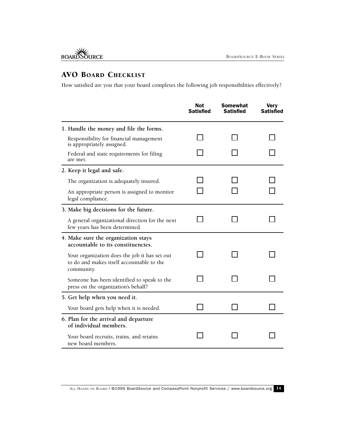# AVO BOARD CHECKLIST

How satisfied are you that your board completes the following job responsibilities effectively?

|                                                                                                          | Not<br><b>Satisfied</b> | <b>Somewhat</b><br>Satisfied | <b>Very</b><br>Satisfied |
|----------------------------------------------------------------------------------------------------------|-------------------------|------------------------------|--------------------------|
| 1. Handle the money and file the forms.                                                                  |                         |                              |                          |
| Responsibility for financial management<br>is appropriately assigned.                                    |                         |                              |                          |
| Federal and state requirements for filing<br>are met.                                                    |                         |                              |                          |
| 2. Keep it legal and safe.                                                                               |                         |                              |                          |
| The organization is adequately insured.                                                                  |                         |                              |                          |
| An appropriate person is assigned to monitor<br>legal compliance.                                        |                         |                              |                          |
| 3. Make big decisions for the future.                                                                    |                         |                              |                          |
| A general organizational direction for the next<br>few years has been determined.                        |                         |                              |                          |
| 4. Make sure the organization stays<br>accountable to its constituencies.                                |                         |                              |                          |
| Your organization does the job it has set out<br>to do and makes itself accountable to the<br>community. |                         |                              |                          |
| Someone has been identified to speak to the<br>press on the organization's behalf?                       |                         |                              |                          |
| 5. Get help when you need it.                                                                            |                         |                              |                          |
| Your board gets help when it is needed.                                                                  |                         |                              |                          |
| 6. Plan for the arrival and departure<br>of individual members.                                          |                         |                              |                          |
| Your board recruits, trains, and retains<br>new board members.                                           |                         |                              |                          |

ALL HANDS ON BOARD / @1999 BoardSource and CompassPoint Nonprofit Services / www.boardsource.org 14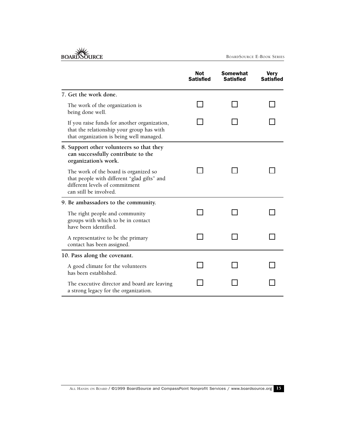BOARDSOURCE

|                                                                                                                                                  | Not<br><b>Satisfied</b> | Somewhat<br><b>Satisfied</b> | <b>Very</b><br><b>Satisfied</b> |
|--------------------------------------------------------------------------------------------------------------------------------------------------|-------------------------|------------------------------|---------------------------------|
| 7. Get the work done.                                                                                                                            |                         |                              |                                 |
| The work of the organization is<br>being done well.                                                                                              |                         |                              |                                 |
| If you raise funds for another organization,<br>that the relationship your group has with<br>that organization is being well managed.            |                         |                              |                                 |
| 8. Support other volunteers so that they<br>can successfully contribute to the<br>organization's work.                                           |                         |                              |                                 |
| The work of the board is organized so<br>that people with different "glad gifts" and<br>different levels of commitment<br>can still be involved. |                         |                              |                                 |
| 9. Be ambassadors to the community.                                                                                                              |                         |                              |                                 |
| The right people and community<br>groups with which to be in contact<br>have been identified.                                                    |                         |                              |                                 |
| A representative to be the primary<br>contact has been assigned.                                                                                 |                         |                              |                                 |
| 10. Pass along the covenant.                                                                                                                     |                         |                              |                                 |
| A good climate for the volunteers<br>has been established.                                                                                       |                         |                              |                                 |
| The executive director and board are leaving<br>a strong legacy for the organization.                                                            |                         |                              |                                 |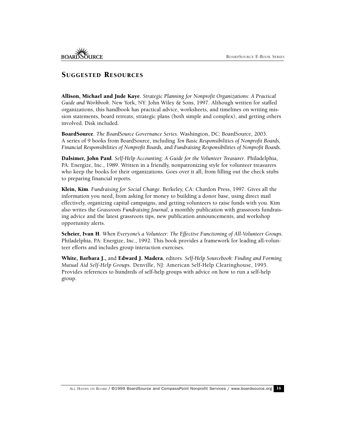## SUGGESTED RESOURCES

Allison, Michael and Jude Kaye. *Strategic Planning for Nonprofit Organizations: A Practical Guide and Workbook*. New York, NY: John Wiley & Sons, 1997. Although written for staffed organizations, this handbook has practical advice, worksheets, and timelines on writing mission statements, board retreats, strategic plans (both simple and complex), and getting others involved. Disk included.

BoardSource. *The BoardSource Governance Series*. Washington, DC: BoardSource, 2003. A series of 9 books from BoardSource, including *Ten Basic Responsibilities of Nonprofit Boards, Financial Responsibilities of Nonprofit Boards,* and *Fundraising Responsibilities of Nonprofit Boards.*

Dalsimer, John Paul. *Self-Help Accounting: A Guide for the Volunteer Treasurer*. Philadelphia, PA: Energize, Inc., 1989. Written in a friendly, nonpatronizing style for volunteer treasurers who keep the books for their organizations. Goes over it all, from filling out the check stubs to preparing financial reports.

Klein, Kim. *Fundraising for Social Change*. Berkeley, CA: Chardon Press, 1997. Gives all the information you need, from asking for money to building a donor base, using direct mail effectively, organizing capital campaigns, and getting volunteers to raise funds with you. Kim also writes the *Grassroots Fundraising Journal*, a monthly publication with grassroots fundraising advice and the latest grassroots tips, new publication announcements, and workshop opportunity alerts.

Scheier, Ivan H. *When Everyone's a Volunteer: The Effective Functioning of All-Volunteer Groups*. Philadelphia, PA: Energize, Inc., 1992. This book provides a framework for leading all-volunteer efforts and includes group interaction exercises.

White, Barbara J., and Edward J. Madera, editors. *Self-Help Sourcebook: Finding and Forming Mutual Aid Self-Help Groups*. Denville, NJ: American Self-Help Clearinghouse, 1995. Provides references to hundreds of self-help groups with advice on how to run a self-help group.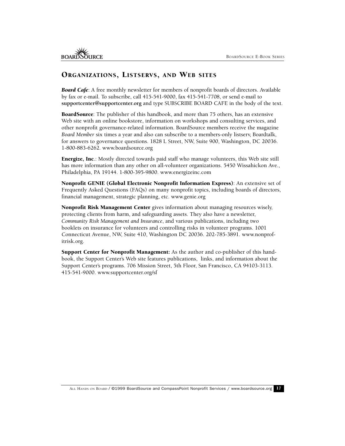## ORGANIZATIONS, LISTSERVS, AND WEB SITES

*Board Cafe*: A free monthly newsletter for members of nonprofit boards of directors. Available by fax or e-mail. To subscribe, call 415-541-9000, fax 415-541-7708, or send e-mail to **supportcenter@supportcenter.org** and type SUBSCRIBE BOARD CAFE in the body of the text.

BoardSource: The publisher of this handbook, and more than 75 others, has an extensive Web site with an online bookstore, information on workshops and consulting services, and other nonprofit governance-related information. BoardSource members receive the magazine *Board Member* six times a year and also can subscribe to a members-only listserv, Boardtalk, for answers to governance questions. 1828 L Street, NW, Suite 900, Washington, DC 20036. 1-800-883-6262. www.boardsource.org

Energize, Inc.: Mostly directed towards paid staff who manage volunteers, this Web site still has more information than any other on all-volunteer organizations. 5450 Wissahickon Ave., Philadelphia, PA 19144. 1-800-395-9800. www.energizeinc.com

Nonprofit GENIE (Global Electronic Nonprofit Information Express): An extensive set of Frequently Asked Questions (FAQs) on many nonprofit topics, including boards of directors, financial management, strategic planning, etc. www.genie.org

Nonprofit Risk Management Center gives information about managing resources wisely, protecting clients from harm, and safeguarding assets. They also have a newsletter, *Community Risk Management and Insurance*, and various publications, including two booklets on insurance for volunteers and controlling risks in volunteer programs. 1001 Connecticut Avenue, NW, Suite 410, Washington DC 20036. 202-785-3891. www.nonprofitrisk.org.

Support Center for Nonprofit Management: As the author and co-publisher of this handbook, the Support Center's Web site features publications, links, and information about the Support Center's programs. 706 Mission Street, 5th Floor, San Francisco, CA 94103-3113. 415-541-9000. www.supportcenter.org/sf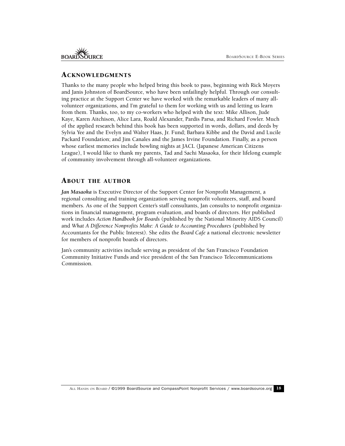## ACKNOWLEDGMENTS

Thanks to the many people who helped bring this book to pass, beginning with Rick Moyers and Janis Johnston of BoardSource, who have been unfailingly helpful. Through our consulting practice at the Support Center we have worked with the remarkable leaders of many allvolunteer organizations, and I'm grateful to them for working with us and letting us learn from them. Thanks, too, to my co-workers who helped with the text: Mike Allison, Jude Kaye, Karen Aitchison, Alice Lara, Roald Alexander, Pardis Parsa, and Richard Fowler. Much of the applied research behind this book has been supported in words, dollars, and deeds by Sylvia Yee and the Evelyn and Walter Haas, Jr. Fund; Barbara Kibbe and the David and Lucile Packard Foundation; and Jim Canales and the James Irvine Foundation. Finally, as a person whose earliest memories include bowling nights at JACL (Japanese American Citizens League), I would like to thank my parents, Tad and Sachi Masaoka, for their lifelong example of community involvement through all-volunteer organizations.

## ABOUT THE AUTHOR

*Jan Masaoka* is Executive Director of the Support Center for Nonprofit Management, a regional consulting and training organization serving nonprofit volunteers, staff, and board members. As one of the Support Center's staff consultants, Jan consults to nonprofit organizations in financial management, program evaluation, and boards of directors. Her published work includes *Action Handbook for Boards* (published by the National Minority AIDS Council) and *What A Difference Nonprofits Make: A Guide to Accounting Procedures* (published by Accountants for the Public Interest). She edits the *Board Cafe* a national electronic newsletter for members of nonprofit boards of directors.

Jan's community activities include serving as president of the San Francisco Foundation Community Initiative Funds and vice president of the San Francisco Telecommunications Commission.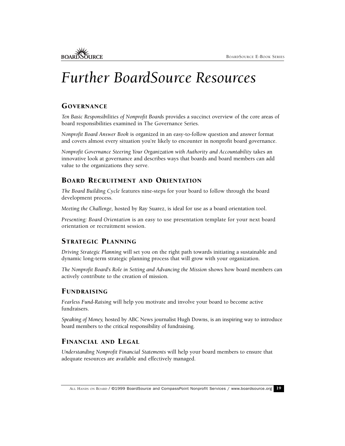# *Further BoardSource Resources*

# **GOVERNANCE**

*Ten Basic Responsibilities of Nonprofit Boards* provides a succinct overview of the core areas of board responsibilities examined in The Governance Series.

*Nonprofit Board Answer Book* is organized in an easy-to-follow question and answer format and covers almost every situation you're likely to encounter in nonprofit board governance.

*Nonprofit Governance Steering Your Organization with Authority and Accountability* takes an innovative look at governance and describes ways that boards and board members can add value to the organizations they serve.

# BOARD RECRUITMENT AND ORIENTATION

*The Board Building Cycle* features nine-steps for your board to follow through the board development process.

*Meeting the Challenge,* hosted by Ray Suarez, is ideal for use as a board orientation tool.

*Presenting: Board Orientation* is an easy to use presentation template for your next board orientation or recruitment session.

## STRATEGIC PLANNING

*Driving Strategic Planning* will set you on the right path towards initiating a sustainable and dynamic long-term strategic planning process that will grow with your organization.

*The Nonprofit Board's Role in Setting and Advancing the Mission* shows how board members can actively contribute to the creation of mission.

## FUNDRAISING

*Fearless Fund-Raising* will help you motivate and involve your board to become active fundraisers.

*Speaking of Money,* hosted by ABC News journalist Hugh Downs, is an inspiring way to introduce board members to the critical responsibility of fundraising.

## FINANCIAL AND LEGAL

*Understanding Nonprofit Financial Statements* will help your board members to ensure that adequate resources are available and effectively managed.